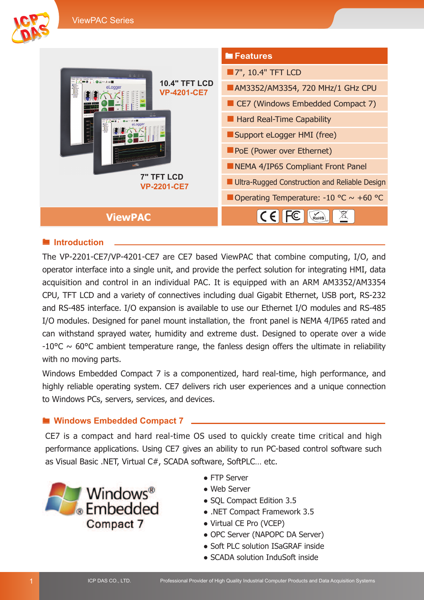

### $\blacksquare$  Introduction

The VP-2201-CE7/VP-4201-CE7 are CE7 based ViewPAC that combine computing, I/O, and operator interface into a single unit, and provide the perfect solution for integrating HMI, data acquisition and control in an individual PAC. It is equipped with an ARM AM3352/AM3354 CPU, TFT LCD and a variety of connectives including dual Gigabit Ethernet, USB port, RS-232 and RS-485 interface. I/O expansion is available to use our Ethernet I/O modules and RS-485 I/O modules. Designed for panel mount installation, the front panel is NEMA 4/IP65 rated and can withstand sprayed water, humidity and extreme dust. Designed to operate over a wide  $-10^{\circ}$ C ~ 60°C ambient temperature range, the fanless design offers the ultimate in reliability with no moving parts.

Windows Embedded Compact 7 is a componentized, hard real-time, high performance, and highly reliable operating system. CE7 delivers rich user experiences and a unique connection to Windows PCs, servers, services, and devices.

#### ■ Windows Embedded Compact 7

CE7 is a compact and hard real-time OS used to quickly create time critical and high performance applications. Using CE7 gives an ability to run PC-based control software such as Visual Basic .NET, Virtual C#, SCADA software, SoftPLC… etc.



- FTP Server
- Web Server
- SOL Compact Edition 3.5
- .NET Compact Framework 3.5
- Virtual CE Pro (VCEP)
- OPC Server (NAPOPC DA Server)
- Soft PLC solution ISaGRAF inside
- SCADA solution InduSoft inside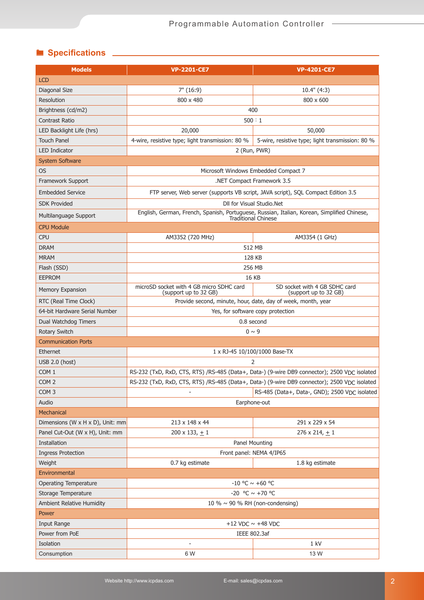# **Specifications** 2008

| <b>Models</b>                    | <b>VP-2201-CE7</b>                                                                                                 | <b>VP-4201-CE7</b>                                     |
|----------------------------------|--------------------------------------------------------------------------------------------------------------------|--------------------------------------------------------|
| <b>LCD</b>                       |                                                                                                                    |                                                        |
| Diagonal Size                    | 7" (16:9)                                                                                                          | 10.4" (4:3)                                            |
| Resolution                       | 800 x 480                                                                                                          | 800 x 600                                              |
| Brightness (cd/m2)               | 400                                                                                                                |                                                        |
| Contrast Ratio                   | 500 : 1                                                                                                            |                                                        |
| LED Backlight Life (hrs)         | 20,000                                                                                                             | 50,000                                                 |
| <b>Touch Panel</b>               | 4-wire, resistive type; light transmission: 80 %                                                                   | 5-wire, resistive type; light transmission: 80 %       |
| <b>LED Indicator</b>             | 2 (Run, PWR)                                                                                                       |                                                        |
| <b>System Software</b>           |                                                                                                                    |                                                        |
| <b>OS</b>                        | Microsoft Windows Embedded Compact 7                                                                               |                                                        |
| Framework Support                | .NET Compact Framework 3.5                                                                                         |                                                        |
| <b>Embedded Service</b>          | FTP server, Web server (supports VB script, JAVA script), SQL Compact Edition 3.5                                  |                                                        |
| <b>SDK Provided</b>              |                                                                                                                    | DII for Visual Studio.Net                              |
| Multilanguage Support            | English, German, French, Spanish, Portuguese, Russian, Italian, Korean, Simplified Chinese,<br>Traditional Chinese |                                                        |
| <b>CPU Module</b>                |                                                                                                                    |                                                        |
| <b>CPU</b>                       | AM3352 (720 MHz)                                                                                                   | AM3354 (1 GHz)                                         |
| <b>DRAM</b>                      | 512 MB                                                                                                             |                                                        |
| <b>MRAM</b>                      | 128 KB                                                                                                             |                                                        |
| Flash (SSD)                      | 256 MB                                                                                                             |                                                        |
| <b>EEPROM</b>                    | <b>16 KB</b>                                                                                                       |                                                        |
| <b>Memory Expansion</b>          | microSD socket with 4 GB micro SDHC card<br>(support up to 32 GB)                                                  | SD socket with 4 GB SDHC card<br>(support up to 32 GB) |
| RTC (Real Time Clock)            | Provide second, minute, hour, date, day of week, month, year                                                       |                                                        |
| 64-bit Hardware Serial Number    | Yes, for software copy protection                                                                                  |                                                        |
| Dual Watchdog Timers             | 0.8 second                                                                                                         |                                                        |
| Rotary Switch                    | $0 \sim 9$                                                                                                         |                                                        |
| <b>Communication Ports</b>       |                                                                                                                    |                                                        |
| Ethernet                         | 1 x RJ-45 10/100/1000 Base-TX                                                                                      |                                                        |
| USB 2.0 (host)                   | $\overline{2}$                                                                                                     |                                                        |
| COM <sub>1</sub>                 | RS-232 (TxD, RxD, CTS, RTS) /RS-485 (Data+, Data-) (9-wire DB9 connector); 2500 VDC isolated                       |                                                        |
| COM <sub>2</sub>                 | RS-232 (TxD, RxD, CTS, RTS) /RS-485 (Data+, Data-) (9-wire DB9 connector); 2500 VDC isolated                       |                                                        |
| COM <sub>3</sub>                 |                                                                                                                    | RS-485 (Data+, Data-, GND); 2500 VDC isolated          |
| Audio                            |                                                                                                                    | Earphone-out                                           |
| Mechanical                       |                                                                                                                    |                                                        |
| Dimensions (W x H x D), Unit: mm | 213 x 148 x 44                                                                                                     | 291 x 229 x 54                                         |
| Panel Cut-Out (W x H), Unit: mm  | 200 x 133, $\pm$ 1                                                                                                 | 276 x 214, $\pm$ 1                                     |
| Installation                     | Panel Mounting                                                                                                     |                                                        |
| <b>Ingress Protection</b>        | Front panel: NEMA 4/IP65                                                                                           |                                                        |
| Weight                           | 0.7 kg estimate                                                                                                    | 1.8 kg estimate                                        |
| Environmental                    |                                                                                                                    |                                                        |
| <b>Operating Temperature</b>     |                                                                                                                    | -10 °C $\sim$ +60 °C                                   |
| Storage Temperature              | -20 °C $\sim$ +70 °C                                                                                               |                                                        |
| Ambient Relative Humidity        | 10 % $\sim$ 90 % RH (non-condensing)                                                                               |                                                        |
| Power                            |                                                                                                                    |                                                        |
| Input Range                      | +12 VDC $\sim$ +48 VDC                                                                                             |                                                        |
| Power from PoE                   | IEEE 802.3af                                                                                                       |                                                        |
| Isolation                        |                                                                                                                    | 1 kV                                                   |
| Consumption                      | 6 W                                                                                                                | 13 W                                                   |